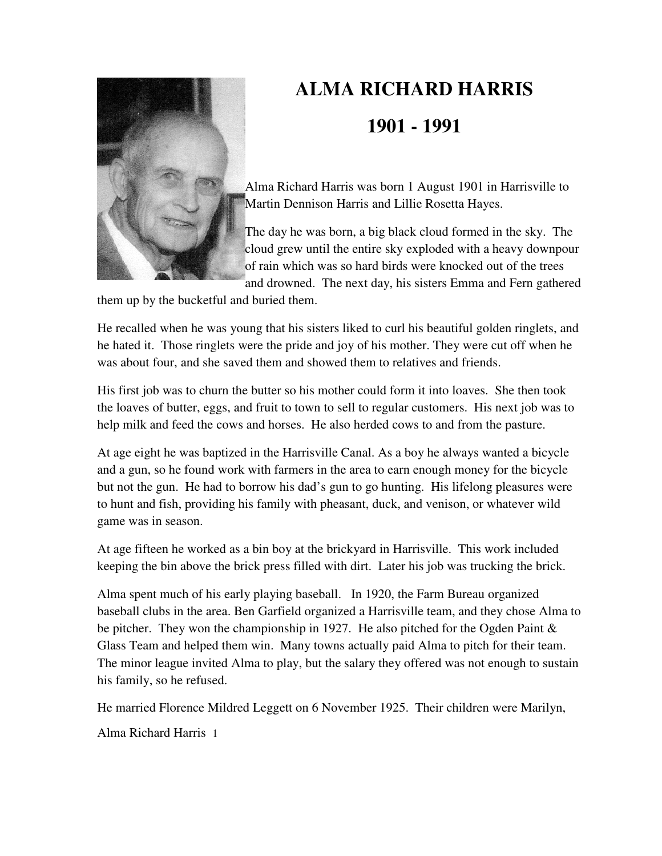

## **ALMA RICHARD HARRIS 1901 - 1991**

Alma Richard Harris was born 1 August 1901 in Harrisville to Martin Dennison Harris and Lillie Rosetta Hayes.

The day he was born, a big black cloud formed in the sky. The cloud grew until the entire sky exploded with a heavy downpour of rain which was so hard birds were knocked out of the trees and drowned. The next day, his sisters Emma and Fern gathered

them up by the bucketful and buried them.

He recalled when he was young that his sisters liked to curl his beautiful golden ringlets, and he hated it. Those ringlets were the pride and joy of his mother. They were cut off when he was about four, and she saved them and showed them to relatives and friends.

His first job was to churn the butter so his mother could form it into loaves. She then took the loaves of butter, eggs, and fruit to town to sell to regular customers. His next job was to help milk and feed the cows and horses. He also herded cows to and from the pasture.

At age eight he was baptized in the Harrisville Canal. As a boy he always wanted a bicycle and a gun, so he found work with farmers in the area to earn enough money for the bicycle but not the gun. He had to borrow his dad's gun to go hunting. His lifelong pleasures were to hunt and fish, providing his family with pheasant, duck, and venison, or whatever wild game was in season.

At age fifteen he worked as a bin boy at the brickyard in Harrisville. This work included keeping the bin above the brick press filled with dirt. Later his job was trucking the brick.

Alma spent much of his early playing baseball. In 1920, the Farm Bureau organized baseball clubs in the area. Ben Garfield organized a Harrisville team, and they chose Alma to be pitcher. They won the championship in 1927. He also pitched for the Ogden Paint & Glass Team and helped them win. Many towns actually paid Alma to pitch for their team. The minor league invited Alma to play, but the salary they offered was not enough to sustain his family, so he refused.

He married Florence Mildred Leggett on 6 November 1925. Their children were Marilyn,

Alma Richard Harris 1